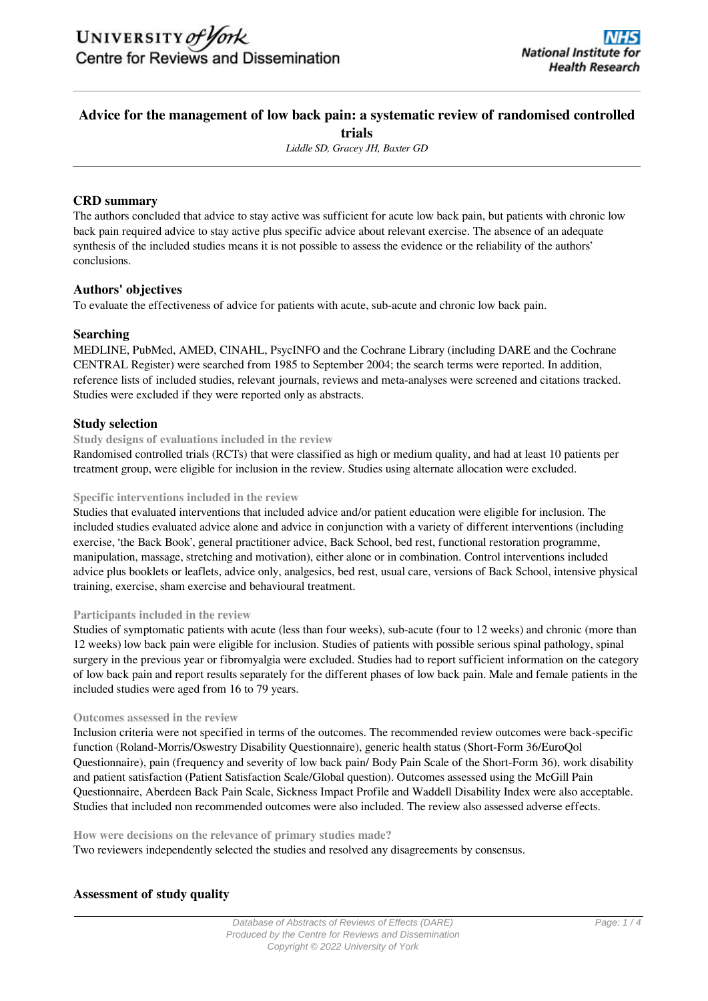# **Advice for the management of low back pain: a systematic review of randomised controlled trials**

*Liddle SD, Gracey JH, Baxter GD*

# **CRD summary**

The authors concluded that advice to stay active was sufficient for acute low back pain, but patients with chronic low back pain required advice to stay active plus specific advice about relevant exercise. The absence of an adequate synthesis of the included studies means it is not possible to assess the evidence or the reliability of the authors' conclusions.

# **Authors' objectives**

To evaluate the effectiveness of advice for patients with acute, sub-acute and chronic low back pain.

# **Searching**

MEDLINE, PubMed, AMED, CINAHL, PsycINFO and the Cochrane Library (including DARE and the Cochrane CENTRAL Register) were searched from 1985 to September 2004; the search terms were reported. In addition, reference lists of included studies, relevant journals, reviews and meta-analyses were screened and citations tracked. Studies were excluded if they were reported only as abstracts.

# **Study selection**

## **Study designs of evaluations included in the review**

Randomised controlled trials (RCTs) that were classified as high or medium quality, and had at least 10 patients per treatment group, were eligible for inclusion in the review. Studies using alternate allocation were excluded.

## **Specific interventions included in the review**

Studies that evaluated interventions that included advice and/or patient education were eligible for inclusion. The included studies evaluated advice alone and advice in conjunction with a variety of different interventions (including exercise, 'the Back Book', general practitioner advice, Back School, bed rest, functional restoration programme, manipulation, massage, stretching and motivation), either alone or in combination. Control interventions included advice plus booklets or leaflets, advice only, analgesics, bed rest, usual care, versions of Back School, intensive physical training, exercise, sham exercise and behavioural treatment.

## **Participants included in the review**

Studies of symptomatic patients with acute (less than four weeks), sub-acute (four to 12 weeks) and chronic (more than 12 weeks) low back pain were eligible for inclusion. Studies of patients with possible serious spinal pathology, spinal surgery in the previous year or fibromyalgia were excluded. Studies had to report sufficient information on the category of low back pain and report results separately for the different phases of low back pain. Male and female patients in the included studies were aged from 16 to 79 years.

## **Outcomes assessed in the review**

Inclusion criteria were not specified in terms of the outcomes. The recommended review outcomes were back-specific function (Roland-Morris/Oswestry Disability Questionnaire), generic health status (Short-Form 36/EuroQol Questionnaire), pain (frequency and severity of low back pain/ Body Pain Scale of the Short-Form 36), work disability and patient satisfaction (Patient Satisfaction Scale/Global question). Outcomes assessed using the McGill Pain Questionnaire, Aberdeen Back Pain Scale, Sickness Impact Profile and Waddell Disability Index were also acceptable. Studies that included non recommended outcomes were also included. The review also assessed adverse effects.

## **How were decisions on the relevance of primary studies made?**

Two reviewers independently selected the studies and resolved any disagreements by consensus.

# **Assessment of study quality**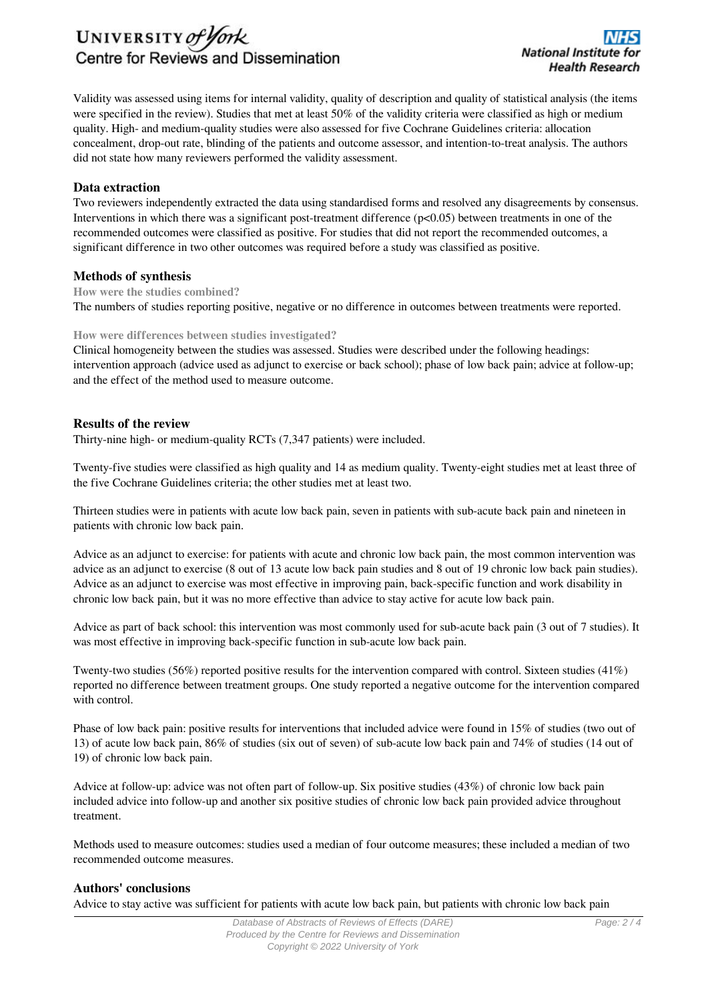# UNIVERSITY of York Centre for Reviews and Dissemination

Validity was assessed using items for internal validity, quality of description and quality of statistical analysis (the items were specified in the review). Studies that met at least 50% of the validity criteria were classified as high or medium quality. High- and medium-quality studies were also assessed for five Cochrane Guidelines criteria: allocation concealment, drop-out rate, blinding of the patients and outcome assessor, and intention-to-treat analysis. The authors did not state how many reviewers performed the validity assessment.

## **Data extraction**

Two reviewers independently extracted the data using standardised forms and resolved any disagreements by consensus. Interventions in which there was a significant post-treatment difference  $(p<0.05)$  between treatments in one of the recommended outcomes were classified as positive. For studies that did not report the recommended outcomes, a significant difference in two other outcomes was required before a study was classified as positive.

## **Methods of synthesis**

**How were the studies combined?** The numbers of studies reporting positive, negative or no difference in outcomes between treatments were reported.

## **How were differences between studies investigated?**

Clinical homogeneity between the studies was assessed. Studies were described under the following headings: intervention approach (advice used as adjunct to exercise or back school); phase of low back pain; advice at follow-up; and the effect of the method used to measure outcome.

# **Results of the review**

Thirty-nine high- or medium-quality RCTs (7,347 patients) were included.

Twenty-five studies were classified as high quality and 14 as medium quality. Twenty-eight studies met at least three of the five Cochrane Guidelines criteria; the other studies met at least two.

Thirteen studies were in patients with acute low back pain, seven in patients with sub-acute back pain and nineteen in patients with chronic low back pain.

Advice as an adjunct to exercise: for patients with acute and chronic low back pain, the most common intervention was advice as an adjunct to exercise (8 out of 13 acute low back pain studies and 8 out of 19 chronic low back pain studies). Advice as an adjunct to exercise was most effective in improving pain, back-specific function and work disability in chronic low back pain, but it was no more effective than advice to stay active for acute low back pain.

Advice as part of back school: this intervention was most commonly used for sub-acute back pain (3 out of 7 studies). It was most effective in improving back-specific function in sub-acute low back pain.

Twenty-two studies (56%) reported positive results for the intervention compared with control. Sixteen studies (41%) reported no difference between treatment groups. One study reported a negative outcome for the intervention compared with control.

Phase of low back pain: positive results for interventions that included advice were found in 15% of studies (two out of 13) of acute low back pain, 86% of studies (six out of seven) of sub-acute low back pain and 74% of studies (14 out of 19) of chronic low back pain.

Advice at follow-up: advice was not often part of follow-up. Six positive studies (43%) of chronic low back pain included advice into follow-up and another six positive studies of chronic low back pain provided advice throughout treatment.

Methods used to measure outcomes: studies used a median of four outcome measures; these included a median of two recommended outcome measures.

# **Authors' conclusions**

Advice to stay active was sufficient for patients with acute low back pain, but patients with chronic low back pain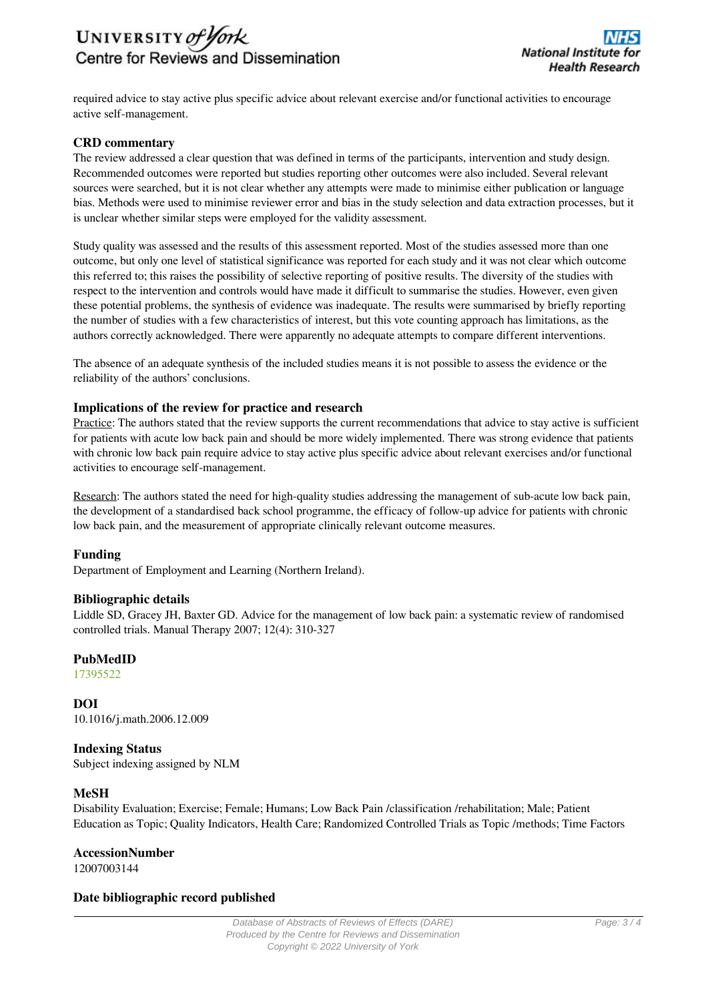

required advice to stay active plus specific advice about relevant exercise and/or functional activities to encourage active self-management.

# **CRD commentary**

The review addressed a clear question that was defined in terms of the participants, intervention and study design. Recommended outcomes were reported but studies reporting other outcomes were also included. Several relevant sources were searched, but it is not clear whether any attempts were made to minimise either publication or language bias. Methods were used to minimise reviewer error and bias in the study selection and data extraction processes, but it is unclear whether similar steps were employed for the validity assessment.

Study quality was assessed and the results of this assessment reported. Most of the studies assessed more than one outcome, but only one level of statistical significance was reported for each study and it was not clear which outcome this referred to; this raises the possibility of selective reporting of positive results. The diversity of the studies with respect to the intervention and controls would have made it difficult to summarise the studies. However, even given these potential problems, the synthesis of evidence was inadequate. The results were summarised by briefly reporting the number of studies with a few characteristics of interest, but this vote counting approach has limitations, as the authors correctly acknowledged. There were apparently no adequate attempts to compare different interventions.

The absence of an adequate synthesis of the included studies means it is not possible to assess the evidence or the reliability of the authors' conclusions.

## **Implications of the review for practice and research**

Practice: The authors stated that the review supports the current recommendations that advice to stay active is sufficient for patients with acute low back pain and should be more widely implemented. There was strong evidence that patients with chronic low back pain require advice to stay active plus specific advice about relevant exercises and/or functional activities to encourage self-management.

Research: The authors stated the need for high-quality studies addressing the management of sub-acute low back pain, the development of a standardised back school programme, the efficacy of follow-up advice for patients with chronic low back pain, and the measurement of appropriate clinically relevant outcome measures.

## **Funding**

Department of Employment and Learning (Northern Ireland).

## **Bibliographic details**

Liddle SD, Gracey JH, Baxter GD. Advice for the management of low back pain: a systematic review of randomised controlled trials. Manual Therapy 2007; 12(4): 310-327

# **PubMedID**

[17395522](http://www.ncbi.nlm.nih.gov/pubmed?term=17395522)

**DOI** 10.1016/j.math.2006.12.009

# **Indexing Status**

Subject indexing assigned by NLM

# **MeSH**

Disability Evaluation; Exercise; Female; Humans; Low Back Pain /classification /rehabilitation; Male; Patient Education as Topic; Quality Indicators, Health Care; Randomized Controlled Trials as Topic /methods; Time Factors

## **AccessionNumber**

12007003144

## **Date bibliographic record published**